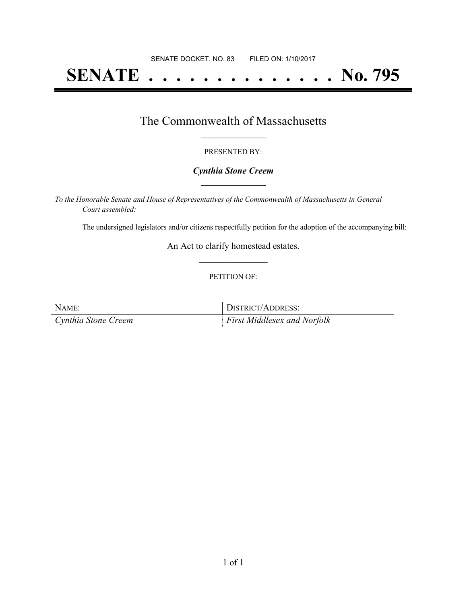# **SENATE . . . . . . . . . . . . . . No. 795**

## The Commonwealth of Massachusetts **\_\_\_\_\_\_\_\_\_\_\_\_\_\_\_\_\_**

#### PRESENTED BY:

#### *Cynthia Stone Creem* **\_\_\_\_\_\_\_\_\_\_\_\_\_\_\_\_\_**

*To the Honorable Senate and House of Representatives of the Commonwealth of Massachusetts in General Court assembled:*

The undersigned legislators and/or citizens respectfully petition for the adoption of the accompanying bill:

An Act to clarify homestead estates. **\_\_\_\_\_\_\_\_\_\_\_\_\_\_\_**

#### PETITION OF:

| NAME:               | DISTRICT/ADDRESS:                  |
|---------------------|------------------------------------|
| Cynthia Stone Creem | <i>First Middlesex and Norfolk</i> |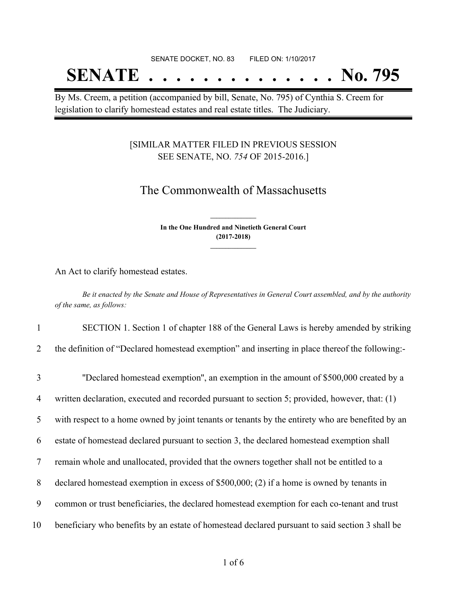# SENATE DOCKET, NO. 83 FILED ON: 1/10/2017 **SENATE . . . . . . . . . . . . . . No. 795**

By Ms. Creem, a petition (accompanied by bill, Senate, No. 795) of Cynthia S. Creem for legislation to clarify homestead estates and real estate titles. The Judiciary.

### [SIMILAR MATTER FILED IN PREVIOUS SESSION SEE SENATE, NO. *754* OF 2015-2016.]

# The Commonwealth of Massachusetts

**In the One Hundred and Ninetieth General Court (2017-2018) \_\_\_\_\_\_\_\_\_\_\_\_\_\_\_**

**\_\_\_\_\_\_\_\_\_\_\_\_\_\_\_**

An Act to clarify homestead estates.

Be it enacted by the Senate and House of Representatives in General Court assembled, and by the authority *of the same, as follows:*

1 SECTION 1. Section 1 of chapter 188 of the General Laws is hereby amended by striking

2 the definition of "Declared homestead exemption" and inserting in place thereof the following:-

| $\overline{3}$ | "Declared homestead exemption", an exemption in the amount of \$500,000 created by a             |
|----------------|--------------------------------------------------------------------------------------------------|
| $\overline{4}$ | written declaration, executed and recorded pursuant to section 5; provided, however, that: (1)   |
| 5              | with respect to a home owned by joint tenants or tenants by the entirety who are benefited by an |
| 6              | estate of homestead declared pursuant to section 3, the declared homestead exemption shall       |
| 7              | remain whole and unallocated, provided that the owners together shall not be entitled to a       |
| 8              | declared homestead exemption in excess of $$500,000$ ; (2) if a home is owned by tenants in      |
| 9              | common or trust beneficiaries, the declared homestead exemption for each co-tenant and trust     |
| 10             | beneficiary who benefits by an estate of homestead declared pursuant to said section 3 shall be  |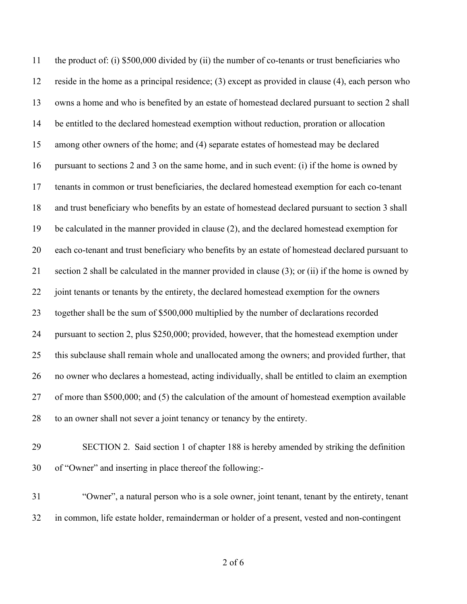the product of: (i) \$500,000 divided by (ii) the number of co-tenants or trust beneficiaries who reside in the home as a principal residence; (3) except as provided in clause (4), each person who owns a home and who is benefited by an estate of homestead declared pursuant to section 2 shall be entitled to the declared homestead exemption without reduction, proration or allocation among other owners of the home; and (4) separate estates of homestead may be declared pursuant to sections 2 and 3 on the same home, and in such event: (i) if the home is owned by tenants in common or trust beneficiaries, the declared homestead exemption for each co-tenant and trust beneficiary who benefits by an estate of homestead declared pursuant to section 3 shall be calculated in the manner provided in clause (2), and the declared homestead exemption for each co-tenant and trust beneficiary who benefits by an estate of homestead declared pursuant to section 2 shall be calculated in the manner provided in clause (3); or (ii) if the home is owned by joint tenants or tenants by the entirety, the declared homestead exemption for the owners together shall be the sum of \$500,000 multiplied by the number of declarations recorded pursuant to section 2, plus \$250,000; provided, however, that the homestead exemption under this subclause shall remain whole and unallocated among the owners; and provided further, that no owner who declares a homestead, acting individually, shall be entitled to claim an exemption of more than \$500,000; and (5) the calculation of the amount of homestead exemption available to an owner shall not sever a joint tenancy or tenancy by the entirety.

- SECTION 2. Said section 1 of chapter 188 is hereby amended by striking the definition of "Owner" and inserting in place thereof the following:-
- "Owner", a natural person who is a sole owner, joint tenant, tenant by the entirety, tenant in common, life estate holder, remainderman or holder of a present, vested and non-contingent

of 6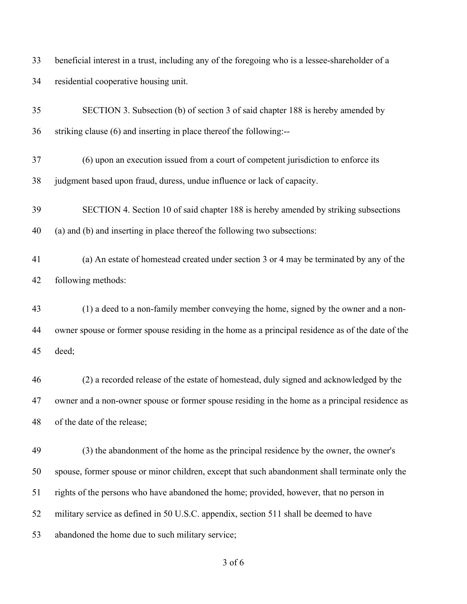beneficial interest in a trust, including any of the foregoing who is a lessee-shareholder of a residential cooperative housing unit.

| 35 | SECTION 3. Subsection (b) of section 3 of said chapter 188 is hereby amended by                   |
|----|---------------------------------------------------------------------------------------------------|
| 36 | striking clause (6) and inserting in place thereof the following:--                               |
| 37 | (6) upon an execution issued from a court of competent jurisdiction to enforce its                |
| 38 | judgment based upon fraud, duress, undue influence or lack of capacity.                           |
| 39 | SECTION 4. Section 10 of said chapter 188 is hereby amended by striking subsections               |
| 40 | (a) and (b) and inserting in place thereof the following two subsections:                         |
| 41 | (a) An estate of homestead created under section 3 or 4 may be terminated by any of the           |
| 42 | following methods:                                                                                |
| 43 | (1) a deed to a non-family member conveying the home, signed by the owner and a non-              |
| 44 | owner spouse or former spouse residing in the home as a principal residence as of the date of the |
| 45 | deed;                                                                                             |
| 46 | (2) a recorded release of the estate of homestead, duly signed and acknowledged by the            |
| 47 | owner and a non-owner spouse or former spouse residing in the home as a principal residence as    |
| 48 | of the date of the release;                                                                       |
| 49 | (3) the abandonment of the home as the principal residence by the owner, the owner's              |
| 50 | spouse, former spouse or minor children, except that such abandonment shall terminate only the    |
| 51 | rights of the persons who have abandoned the home; provided, however, that no person in           |
| 52 | military service as defined in 50 U.S.C. appendix, section 511 shall be deemed to have            |
| 53 | abandoned the home due to such military service;                                                  |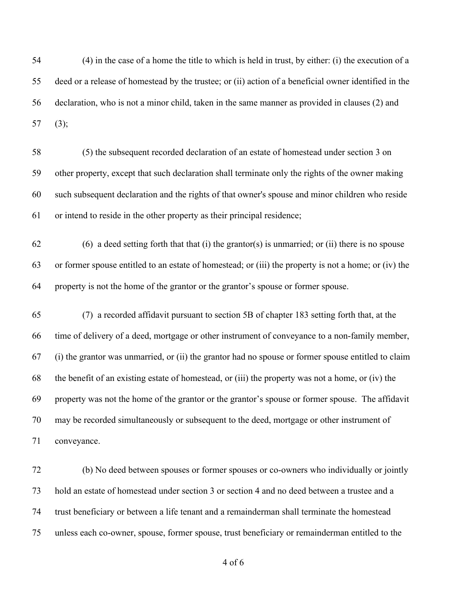(4) in the case of a home the title to which is held in trust, by either: (i) the execution of a deed or a release of homestead by the trustee; or (ii) action of a beneficial owner identified in the declaration, who is not a minor child, taken in the same manner as provided in clauses (2) and (3);

 (5) the subsequent recorded declaration of an estate of homestead under section 3 on other property, except that such declaration shall terminate only the rights of the owner making such subsequent declaration and the rights of that owner's spouse and minor children who reside or intend to reside in the other property as their principal residence;

 (6) a deed setting forth that that (i) the grantor(s) is unmarried; or (ii) there is no spouse or former spouse entitled to an estate of homestead; or (iii) the property is not a home; or (iv) the property is not the home of the grantor or the grantor's spouse or former spouse.

 (7) a recorded affidavit pursuant to section 5B of chapter 183 setting forth that, at the time of delivery of a deed, mortgage or other instrument of conveyance to a non-family member, (i) the grantor was unmarried, or (ii) the grantor had no spouse or former spouse entitled to claim the benefit of an existing estate of homestead, or (iii) the property was not a home, or (iv) the property was not the home of the grantor or the grantor's spouse or former spouse. The affidavit may be recorded simultaneously or subsequent to the deed, mortgage or other instrument of conveyance.

 (b) No deed between spouses or former spouses or co-owners who individually or jointly hold an estate of homestead under section 3 or section 4 and no deed between a trustee and a trust beneficiary or between a life tenant and a remainderman shall terminate the homestead unless each co-owner, spouse, former spouse, trust beneficiary or remainderman entitled to the

of 6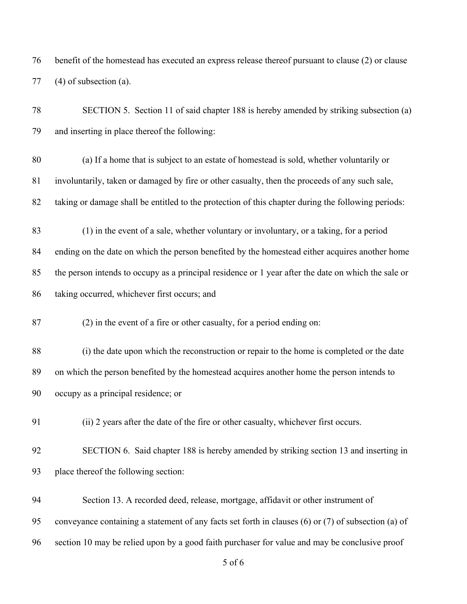benefit of the homestead has executed an express release thereof pursuant to clause (2) or clause (4) of subsection (a).

 SECTION 5. Section 11 of said chapter 188 is hereby amended by striking subsection (a) and inserting in place thereof the following:

 (a) If a home that is subject to an estate of homestead is sold, whether voluntarily or involuntarily, taken or damaged by fire or other casualty, then the proceeds of any such sale, taking or damage shall be entitled to the protection of this chapter during the following periods:

 (1) in the event of a sale, whether voluntary or involuntary, or a taking, for a period ending on the date on which the person benefited by the homestead either acquires another home the person intends to occupy as a principal residence or 1 year after the date on which the sale or taking occurred, whichever first occurs; and

(2) in the event of a fire or other casualty, for a period ending on:

 (i) the date upon which the reconstruction or repair to the home is completed or the date on which the person benefited by the homestead acquires another home the person intends to occupy as a principal residence; or

(ii) 2 years after the date of the fire or other casualty, whichever first occurs.

 SECTION 6. Said chapter 188 is hereby amended by striking section 13 and inserting in place thereof the following section:

 Section 13. A recorded deed, release, mortgage, affidavit or other instrument of conveyance containing a statement of any facts set forth in clauses (6) or (7) of subsection (a) of

section 10 may be relied upon by a good faith purchaser for value and may be conclusive proof